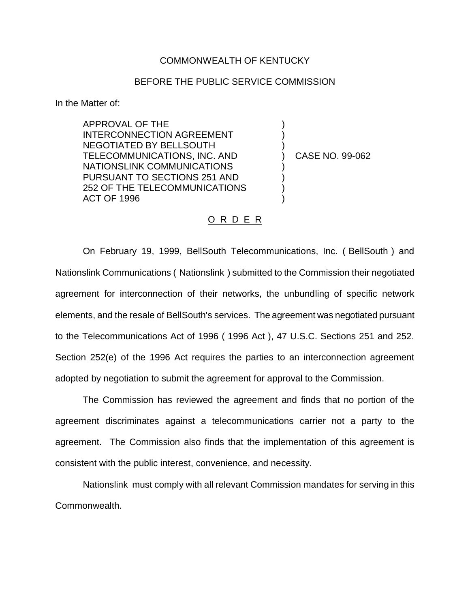## COMMONWEALTH OF KENTUCKY

## BEFORE THE PUBLIC SERVICE COMMISSION

In the Matter of:

APPROVAL OF THE INTERCONNECTION AGREEMENT NEGOTIATED BY BELLSOUTH TELECOMMUNICATIONS, INC. AND NATIONSLINK COMMUNICATIONS PURSUANT TO SECTIONS 251 AND 252 OF THE TELECOMMUNICATIONS ACT OF 1996

) CASE NO. 99-062

) ) )

) ) ) )

## O R D E R

On February 19, 1999, BellSouth Telecommunications, Inc. ( BellSouth ) and Nationslink Communications ( Nationslink ) submitted to the Commission their negotiated agreement for interconnection of their networks, the unbundling of specific network elements, and the resale of BellSouth's services. The agreement was negotiated pursuant to the Telecommunications Act of 1996 ( 1996 Act ), 47 U.S.C. Sections 251 and 252. Section 252(e) of the 1996 Act requires the parties to an interconnection agreement adopted by negotiation to submit the agreement for approval to the Commission.

The Commission has reviewed the agreement and finds that no portion of the agreement discriminates against a telecommunications carrier not a party to the agreement. The Commission also finds that the implementation of this agreement is consistent with the public interest, convenience, and necessity.

Nationslink must comply with all relevant Commission mandates for serving in this Commonwealth.